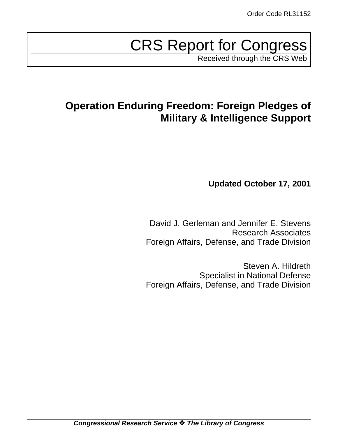# CRS Report for Congress

Received through the CRS Web

## **Operation Enduring Freedom: Foreign Pledges of Military & Intelligence Support**

**Updated October 17, 2001**

David J. Gerleman and Jennifer E. Stevens Research Associates Foreign Affairs, Defense, and Trade Division

Steven A. Hildreth Specialist in National Defense Foreign Affairs, Defense, and Trade Division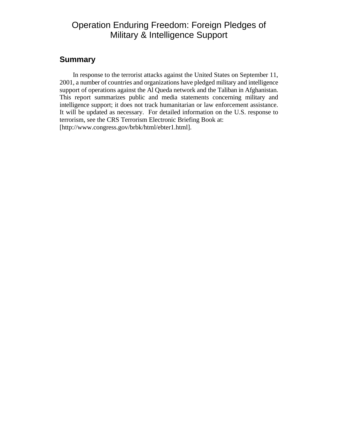### Operation Enduring Freedom: Foreign Pledges of Military & Intelligence Support

#### **Summary**

In response to the terrorist attacks against the United States on September 11, 2001, a number of countries and organizations have pledged military and intelligence support of operations against the Al Queda network and the Taliban in Afghanistan. This report summarizes public and media statements concerning military and intelligence support; it does not track humanitarian or law enforcement assistance. It will be updated as necessary. For detailed information on the U.S. response to terrorism, see the CRS Terrorism Electronic Briefing Book at: [http://www.congress.gov/brbk/html/ebter1.html].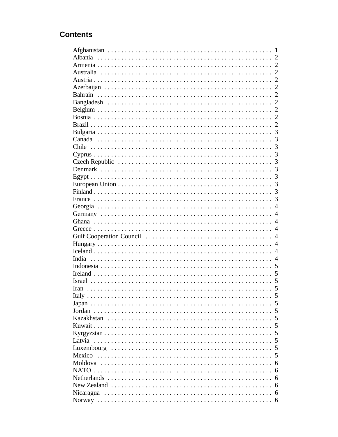#### **Contents**

| $\mathbf{1}$                                                                                             |                |
|----------------------------------------------------------------------------------------------------------|----------------|
|                                                                                                          |                |
|                                                                                                          | $\overline{2}$ |
|                                                                                                          |                |
|                                                                                                          | 2              |
|                                                                                                          | $\overline{2}$ |
|                                                                                                          | $\overline{2}$ |
|                                                                                                          |                |
|                                                                                                          | 2              |
| 2                                                                                                        |                |
|                                                                                                          | $\overline{2}$ |
| 3                                                                                                        |                |
|                                                                                                          | 3              |
|                                                                                                          | 3              |
|                                                                                                          | 3              |
|                                                                                                          |                |
| 3                                                                                                        | 3              |
|                                                                                                          |                |
| 3                                                                                                        |                |
|                                                                                                          | 3              |
| 3                                                                                                        |                |
|                                                                                                          | 3              |
|                                                                                                          | $\overline{A}$ |
|                                                                                                          | $\overline{A}$ |
|                                                                                                          | $\overline{4}$ |
|                                                                                                          | $\overline{A}$ |
|                                                                                                          | $\overline{4}$ |
|                                                                                                          | $\overline{A}$ |
|                                                                                                          | $\overline{4}$ |
| India                                                                                                    | $\overline{4}$ |
|                                                                                                          | 5              |
|                                                                                                          | 5              |
| 5                                                                                                        |                |
|                                                                                                          | 5              |
|                                                                                                          | 5              |
|                                                                                                          | 5              |
|                                                                                                          | 5              |
|                                                                                                          | 5              |
|                                                                                                          | 5              |
|                                                                                                          | 5              |
|                                                                                                          | 5              |
|                                                                                                          | 5              |
| Mexico                                                                                                   | 5              |
|                                                                                                          |                |
|                                                                                                          |                |
|                                                                                                          | 6              |
|                                                                                                          |                |
|                                                                                                          | 6              |
| New Zealand $\ldots \ldots \ldots \ldots \ldots \ldots \ldots \ldots \ldots \ldots \ldots \ldots \ldots$ | 6              |
|                                                                                                          | 6              |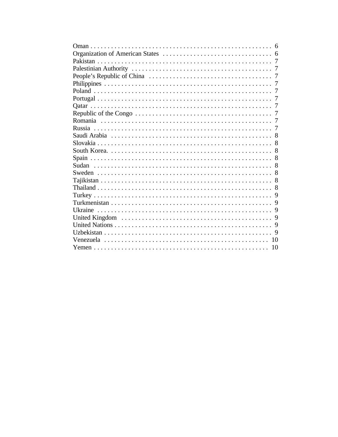| 7                                                                                                           |
|-------------------------------------------------------------------------------------------------------------|
|                                                                                                             |
|                                                                                                             |
| 7                                                                                                           |
|                                                                                                             |
|                                                                                                             |
|                                                                                                             |
| Republic of the Congo $\ldots \ldots \ldots \ldots \ldots \ldots \ldots \ldots \ldots \ldots \ldots \ldots$ |
|                                                                                                             |
|                                                                                                             |
|                                                                                                             |
|                                                                                                             |
| 8                                                                                                           |
|                                                                                                             |
|                                                                                                             |
| 8                                                                                                           |
|                                                                                                             |
|                                                                                                             |
| 9                                                                                                           |
|                                                                                                             |
| 9                                                                                                           |
|                                                                                                             |
|                                                                                                             |
| 9                                                                                                           |
| -10                                                                                                         |
| 10                                                                                                          |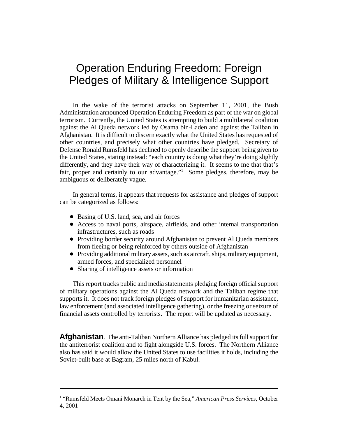## Operation Enduring Freedom: Foreign Pledges of Military & Intelligence Support

In the wake of the terrorist attacks on September 11, 2001, the Bush Administration announced Operation Enduring Freedom as part of the war on global terrorism. Currently, the United States is attempting to build a multilateral coalition against the Al Queda network led by Osama bin-Laden and against the Taliban in Afghanistan. It is difficult to discern exactly what the United States has requested of other countries, and precisely what other countries have pledged. Secretary of Defense Ronald Rumsfeld has declined to openly describe the support being given to the United States, stating instead: "each country is doing what they're doing slightly differently, and they have their way of characterizing it. It seems to me that that's fair, proper and certainly to our advantage."<sup>1</sup> Some pledges, therefore, may be ambiguous or deliberately vague.

In general terms, it appears that requests for assistance and pledges of support can be categorized as follows:

- Basing of U.S. land, sea, and air forces
- ! Access to naval ports, airspace, airfields, and other internal transportation infrastructures, such as roads
- ! Providing border security around Afghanistan to prevent Al Queda members from fleeing or being reinforced by others outside of Afghanistan
- Providing additional military assets, such as aircraft, ships, military equipment, armed forces, and specialized personnel
- Sharing of intelligence assets or information

This report tracks public and media statements pledging foreign official support of military operations against the Al Queda network and the Taliban regime that supports it. It does not track foreign pledges of support for humanitarian assistance, law enforcement (and associated intelligence gathering), or the freezing or seizure of financial assets controlled by terrorists. The report will be updated as necessary.

**Afghanistan**. The anti-Taliban Northern Alliance has pledged its full support for the antiterrorist coalition and to fight alongside U.S. forces. The Northern Alliance also has said it would allow the United States to use facilities it holds, including the Soviet-built base at Bagram, 25 miles north of Kabul.

<sup>1</sup> "Rumsfeld Meets Omani Monarch in Tent by the Sea," *American Press Services*, October 4, 2001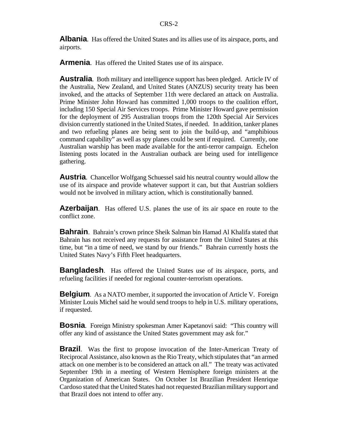**Albania**. Has offered the United States and its allies use of its airspace, ports, and airports.

**Armenia**. Has offered the United States use of its airspace.

**Australia**. Both military and intelligence support has been pledged. Article IV of the Australia, New Zealand, and United States (ANZUS) security treaty has been invoked, and the attacks of September 11th were declared an attack on Australia. Prime Minister John Howard has committed 1,000 troops to the coalition effort, including 150 Special Air Services troops. Prime Minister Howard gave permission for the deployment of 295 Australian troops from the 120th Special Air Services division currently stationed in the United States, if needed. In addition, tanker planes and two refueling planes are being sent to join the build-up, and "amphibious command capability" as well as spy planes could be sent if required. Currently, one Australian warship has been made available for the anti-terror campaign. Echelon listening posts located in the Australian outback are being used for intelligence gathering.

**Austria**. Chancellor Wolfgang Schuessel said his neutral country would allow the use of its airspace and provide whatever support it can, but that Austrian soldiers would not be involved in military action, which is constitutionally banned.

**Azerbaijan**. Has offered U.S. planes the use of its air space en route to the conflict zone.

**Bahrain**. Bahrain's crown prince Sheik Salman bin Hamad Al Khalifa stated that Bahrain has not received any requests for assistance from the United States at this time, but "in a time of need, we stand by our friends." Bahrain currently hosts the United States Navy's Fifth Fleet headquarters.

**Bangladesh.** Has offered the United States use of its airspace, ports, and refueling facilities if needed for regional counter-terrorism operations.

**Belgium.** As a NATO member, it supported the invocation of Article V. Foreign Minister Louis Michel said he would send troops to help in U.S. military operations, if requested.

**Bosnia**. Foreign Ministry spokesman Amer Kapetanovi said: "This country will offer any kind of assistance the United States government may ask for."

**Brazil**. Was the first to propose invocation of the Inter-American Treaty of Reciprocal Assistance, also known as the Rio Treaty, which stipulates that "an armed attack on one member isto be considered an attack on all." The treaty was activated September 19th in a meeting of Western Hemisphere foreign ministers at the Organization of American States. On October 1st Brazilian President Henrique Cardoso stated that the United States had not requested Brazilian military support and that Brazil does not intend to offer any.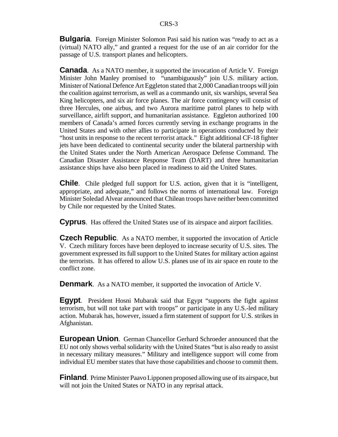**Bulgaria**. Foreign Minister Solomon Pasi said his nation was "ready to act as a (virtual) NATO ally," and granted a request for the use of an air corridor for the passage of U.S. transport planes and helicopters.

**Canada.** As a NATO member, it supported the invocation of Article V. Foreign Minister John Manley promised to "unambiguously" join U.S. military action. Minister of National Defence Art Eggleton stated that 2,000 Canadian troops will join the coalition against terrorism, as well as a commando unit, six warships, several Sea King helicopters, and six air force planes. The air force contingency will consist of three Hercules, one airbus, and two Aurora maritime patrol planes to help with surveillance, airlift support, and humanitarian assistance. Eggleton authorized 100 members of Canada's armed forces currently serving in exchange programs in the United States and with other allies to participate in operations conducted by their "host units in response to the recent terrorist attack." Eight additional CF-18 fighter jets have been dedicated to continental security under the bilateral partnership with the United States under the North American Aerospace Defense Command. The Canadian Disaster Assistance Response Team (DART) and three humanitarian assistance ships have also been placed in readiness to aid the United States.

**Chile**. Chile pledged full support for U.S. action, given that it is "intelligent, appropriate, and adequate," and follows the norms of international law. Foreign Minister Soledad Alvear announced that Chilean troops have neither been committed by Chile nor requested by the United States.

**Cyprus**. Has offered the United States use of its airspace and airport facilities.

**Czech Republic**. As a NATO member, it supported the invocation of Article V. Czech military forces have been deployed to increase security of U.S. sites. The government expressed its full support to the United States for military action against the terrorists. It has offered to allow U.S. planes use of its air space en route to the conflict zone.

**Denmark.** As a NATO member, it supported the invocation of Article V.

**Egypt**. President Hosni Mubarak said that Egypt "supports the fight against terrorism, but will not take part with troops" or participate in any U.S.-led military action. Mubarak has, however, issued a firm statement of support for U.S. strikes in Afghanistan.

**European Union**. German Chancellor Gerhard Schroeder announced that the EU not only shows verbal solidarity with the United States "but is also ready to assist in necessary military measures." Military and intelligence support will come from individual EU member states that have those capabilities and choose to commit them.

**Finland**. Prime Minister Paavo Lipponen proposed allowing use of its airspace, but will not join the United States or NATO in any reprisal attack.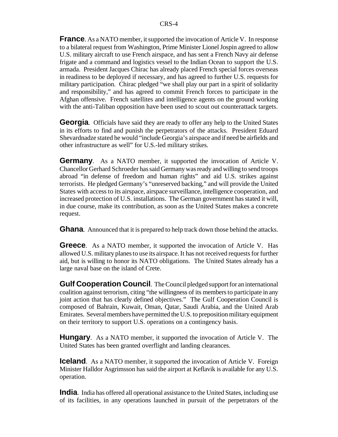**France.** As a NATO member, it supported the invocation of Article V. In response to a bilateral request from Washington, Prime Minister Lionel Jospin agreed to allow U.S. military aircraft to use French airspace, and has sent a French Navy air defense frigate and a command and logistics vessel to the Indian Ocean to support the U.S. armada. President Jacques Chirac has already placed French special forces overseas in readiness to be deployed if necessary, and has agreed to further U.S. requests for military participation. Chirac pledged "we shall play our part in a spirit of solidarity and responsibility," and has agreed to commit French forces to participate in the Afghan offensive. French satellites and intelligence agents on the ground working with the anti-Taliban opposition have been used to scout out counterattack targets.

**Georgia**. Officials have said they are ready to offer any help to the United States in its efforts to find and punish the perpetrators of the attacks. President Eduard Shevardnadze stated he would "include Georgia's airspace and ifneed be airfields and other infrastructure as well" for U.S.-led military strikes.

**Germany.** As a NATO member, it supported the invocation of Article V. Chancellor Gerhard Schroeder hassaid Germany wasready and willing to send troops abroad "in defense of freedom and human rights" and aid U.S. strikes against terrorists. He pledged Germany's "unreserved backing," and will provide the United States with access to its airspace, airspace surveillance, intelligence cooperation, and increased protection of U.S. installations. The German government has stated it will, in due course, make its contribution, as soon as the United States makes a concrete request.

**Ghana**. Announced that it is prepared to help track down those behind the attacks.

**Greece.** As a NATO member, it supported the invocation of Article V. Has allowed U.S. military planesto use its airspace.It has not received requestsfor further aid, but is willing to honor its NATO obligations. The United States already has a large naval base on the island of Crete.

**Gulf Cooperation Council**. The Council pledged support for an international coalition against terrorism, citing "the willingness of its membersto participate in any joint action that has clearly defined objectives." The Gulf Cooperation Council is composed of Bahrain, Kuwait, Oman, Qatar, Saudi Arabia, and the United Arab Emirates. Several members have permitted the U.S. to preposition military equipment on their territory to support U.S. operations on a contingency basis.

**Hungary.** As a NATO member, it supported the invocation of Article V. The United States has been granted overflight and landing clearances.

**Iceland**. As a NATO member, it supported the invocation of Article V. Foreign Minister Halldor Asgrimsson has said the airport at Keflavik is available for any U.S. operation.

**India**. India has offered all operational assistance to the United States, including use of its facilities, in any operations launched in pursuit of the perpetrators of the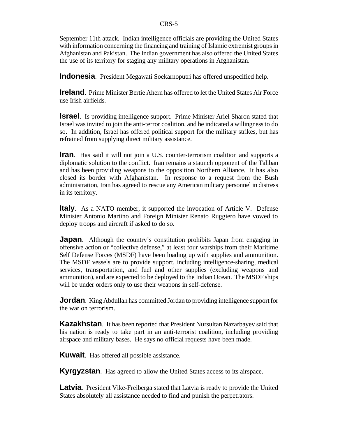September 11th attack. Indian intelligence officials are providing the United States with information concerning the financing and training of Islamic extremist groups in Afghanistan and Pakistan. The Indian government has also offered the United States the use of its territory for staging any military operations in Afghanistan.

**Indonesia**. President Megawati Soekarnoputri has offered unspecified help.

**Ireland**. Prime Minister Bertie Ahern has offered to let the United States Air Force use Irish airfields.

**Israel**. Is providing intelligence support. Prime Minister Ariel Sharon stated that Israel was invited to join the anti-terror coalition, and he indicated a willingnessto do so. In addition, Israel has offered political support for the military strikes, but has refrained from supplying direct military assistance.

**Iran.** Has said it will not join a U.S. counter-terrorism coalition and supports a diplomatic solution to the conflict. Iran remains a staunch opponent of the Taliban and has been providing weapons to the opposition Northern Alliance. It has also closed its border with Afghanistan. In response to a request from the Bush administration, Iran has agreed to rescue any American military personnel in distress in its territory.

**Italy**. As a NATO member, it supported the invocation of Article V. Defense Minister Antonio Martino and Foreign Minister Renato Ruggiero have vowed to deploy troops and aircraft if asked to do so.

**Japan**. Although the country's constitution prohibits Japan from engaging in offensive action or "collective defense," at least four warships from their Maritime Self Defense Forces (MSDF) have been loading up with supplies and ammunition. The MSDF vessels are to provide support, including intelligence-sharing, medical services, transportation, and fuel and other supplies (excluding weapons and ammunition), and are expected to be deployed to the Indian Ocean. The MSDF ships will be under orders only to use their weapons in self-defense.

**Jordan**. King Abdullah has committed Jordan to providing intelligence support for the war on terrorism.

**Kazakhstan**. It has been reported that President Nursultan Nazarbayev said that his nation is ready to take part in an anti-terrorist coalition, including providing airspace and military bases. He says no official requests have been made.

**Kuwait**. Has offered all possible assistance.

**Kyrgyzstan.** Has agreed to allow the United States access to its airspace.

**Latvia**. President Vike-Freiberga stated that Latvia is ready to provide the United States absolutely all assistance needed to find and punish the perpetrators.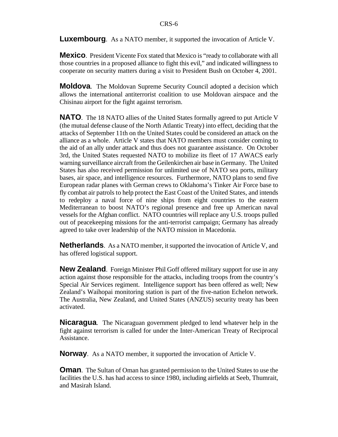**Luxembourg**. As a NATO member, it supported the invocation of Article V.

**Mexico**. President Vicente Fox stated that Mexico is "ready to collaborate with all those countries in a proposed alliance to fight this evil," and indicated willingness to cooperate on security matters during a visit to President Bush on October 4, 2001.

**Moldova.** The Moldovan Supreme Security Council adopted a decision which allows the international antiterrorist coalition to use Moldovan airspace and the Chisinau airport for the fight against terrorism.

**NATO**. The 18 NATO allies of the United States formally agreed to put Article V (the mutual defense clause of the North Atlantic Treaty) into effect, deciding that the attacks of September 11th on the United States could be considered an attack on the alliance as a whole. Article V states that NATO members must consider coming to the aid of an ally under attack and thus does not guarantee assistance. On October 3rd, the United States requested NATO to mobilize its fleet of 17 AWACS early warning surveillance aircraft from the Geilenkirchen air base in Germany. The United States has also received permission for unlimited use of NATO sea ports, military bases, air space, and intelligence resources. Furthermore, NATO plans to send five European radar planes with German crews to Oklahoma's Tinker Air Force base to fly combat air patrols to help protect the East Coast of the United States, and intends to redeploy a naval force of nine ships from eight countries to the eastern Mediterranean to boost NATO's regional presence and free up American naval vessels for the Afghan conflict. NATO countries will replace any U.S. troops pulled out of peacekeeping missions for the anti-terrorist campaign; Germany has already agreed to take over leadership of the NATO mission in Macedonia.

**Netherlands**. As a NATO member, it supported the invocation of Article V, and has offered logistical support.

**New Zealand**. Foreign Minister Phil Goff offered military support for use in any action against those responsible for the attacks, including troops from the country's Special Air Services regiment. Intelligence support has been offered as well; New Zealand's Waihopai monitoring station is part of the five-nation Echelon network. The Australia, New Zealand, and United States (ANZUS) security treaty has been activated.

**Nicaragua**. The Nicaraguan government pledged to lend whatever help in the fight against terrorism is called for under the Inter-American Treaty of Reciprocal Assistance.

**Norway.** As a NATO member, it supported the invocation of Article V.

**Oman**. The Sultan of Oman has granted permission to the United States to use the facilities the U.S. has had access to since 1980, including airfields at Seeb, Thumrait, and Masirah Island.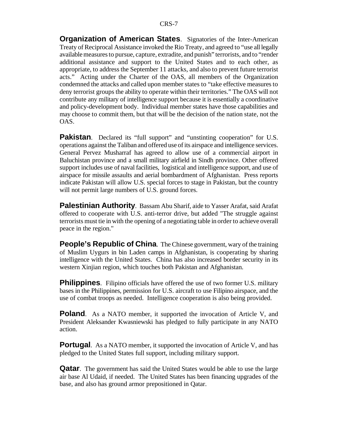**Organization of American States**. Signatories of the Inter-American Treaty of Reciprocal Assistance invoked the Rio Treaty, and agreed to "use all legally available measures to pursue, capture, extradite, and punish" terrorists, and to "render additional assistance and support to the United States and to each other, as appropriate, to address the September 11 attacks, and also to prevent future terrorist acts." Acting under the Charter of the OAS, all members of the Organization condemned the attacks and called upon member states to "take effective measuresto deny terrorist groups the ability to operate within their territories." The OAS will not contribute any military of intelligence support because it is essentially a coordinative and policy-development body. Individual member states have those capabilities and may choose to commit them, but that will be the decision of the nation state, not the OAS.

**Pakistan**. Declared its "full support" and "unstinting cooperation" for U.S. operations against the Taliban and offered use ofits airspace and intelligence services. General Pervez Musharraf has agreed to allow use of a commercial airport in Baluchistan province and a small military airfield in Sindh province. Other offered support includes use of naval facilities, logistical and intelligence support, and use of airspace for missile assaults and aerial bombardment of Afghanistan. Press reports indicate Pakistan will allow U.S. special forces to stage in Pakistan, but the country will not permit large numbers of U.S. ground forces.

**Palestinian Authority**. Bassam Abu Sharif, aide to Yasser Arafat, said Arafat offered to cooperate with U.S. anti-terror drive, but added "The struggle against terrorists must tie in with the opening of a negotiating table in order to achieve overall peace in the region."

**People's Republic of China**. The Chinese government, wary of the training of Muslim Uygurs in bin Laden camps in Afghanistan, is cooperating by sharing intelligence with the United States. China has also increased border security in its western Xinjian region, which touches both Pakistan and Afghanistan.

**Philippines**. Filipino officials have offered the use of two former U.S. military bases in the Philippines, permission for U.S. aircraft to use Filipino airspace, and the use of combat troops as needed. Intelligence cooperation is also being provided.

**Poland.** As a NATO member, it supported the invocation of Article V, and President Aleksander Kwasniewski has pledged to fully participate in any NATO action.

**Portugal.** As a NATO member, it supported the invocation of Article V, and has pledged to the United States full support, including military support.

**Qatar**. The government has said the United States would be able to use the large air base Al Udaid, if needed. The United States has been financing upgrades of the base, and also has ground armor prepositioned in Qatar.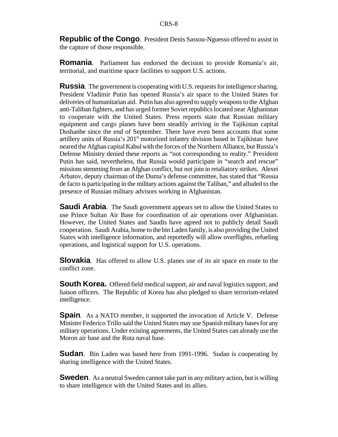**Republic of the Congo**. President Denis Sassou-Nguesso offered to assist in the capture of those responsible.

**Romania**. Parliament has endorsed the decision to provide Romania's air, territorial, and maritime space facilities to support U.S. actions.

**Russia**. The government is cooperating with U.S. requests for intelligence sharing. President Vladimir Putin has opened Russia's air space to the United States for deliveries of humanitarian aid. Putin has also agreed to supply weapons to the Afghan anti-Taliban fighters, and has urged former Soviet republicslocated near Afghanistan to cooperate with the United States. Press reports state that Russian military equipment and cargo planes have been steadily arriving in the Tajikistan capital Dushanbe since the end of September. There have even been accounts that some artillery units of Russia's 201<sup>st</sup> motorized infantry division based in Tajikistan have neared the Afghan capital Kabul with the forces of the Northern Alliance, but Russia's Defense Ministry denied these reports as "not corresponding to reality." President Putin has said, nevertheless, that Russia would participate in "search and rescue" missionsstemming from an Afghan conflict, but not join in retaliatory strikes. Alexei Arbatov, deputy chairman of the Duma's defense committee, has stated that "Russia de facto is participating in the military actions against the Taliban," and alluded to the presence of Russian military advisors working in Afghanistan.

**Saudi Arabia**. The Saudi government appears set to allow the United States to use Prince Sultan Air Base for coordination of air operations over Afghanistan. However, the United States and Saudis have agreed not to publicly detail Saudi cooperation. Saudi Arabia, home to the bin Laden family, is also providing the United States with intelligence information, and reportedly will allow overflights, refueling operations, and logistical support for U.S. operations.

**Slovakia**. Has offered to allow U.S. planes use of its air space en route to the conflict zone.

**South Korea.** Offered field medical support, air and naval logistics support, and liaison officers. The Republic of Korea has also pledged to share terrorism-related intelligence.

**Spain**. As a NATO member, it supported the invocation of Article V. Defense Minister Federico Trillo said the United States may use Spanish military basesfor any military operations. Under existing agreements, the United States can already use the Moron air base and the Rota naval base.

**Sudan**. Bin Laden was based here from 1991-1996. Sudan is cooperating by sharing intelligence with the United States.

**Sweden**. As a neutral Sweden cannot take part in any military action, but is willing to share intelligence with the United States and its allies.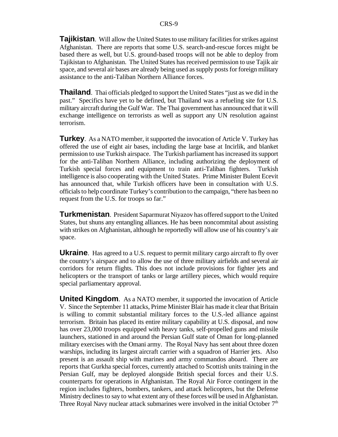**Tajikistan**. Will allow the United States to use military facilities for strikes against Afghanistan. There are reports that some U.S. search-and-rescue forces might be based there as well, but U.S. ground-based troops will not be able to deploy from Tajikistan to Afghanistan. The United States has received permission to use Tajik air space, and several air bases are already being used as supply posts for foreign military assistance to the anti-Taliban Northern Alliance forces.

**Thailand**. Thai officials pledged to support the United States "just as we did in the past." Specifics have yet to be defined, but Thailand was a refueling site for U.S. military aircraft during the Gulf War. The Thai government has announced that it will exchange intelligence on terrorists as well as support any UN resolution against terrorism.

**Turkey.** As a NATO member, it supported the invocation of Article V. Turkey has offered the use of eight air bases, including the large base at Incirlik, and blanket permission to use Turkish airspace. The Turkish parliament has increased its support for the anti-Taliban Northern Alliance, including authorizing the deployment of Turkish special forces and equipment to train anti-Taliban fighters. Turkish intelligence is also cooperating with the United States. Prime Minister Bulent Ecevit has announced that, while Turkish officers have been in consultation with U.S. officialsto help coordinate Turkey's contribution to the campaign, "there has been no request from the U.S. for troops so far."

**Turkmenistan**. President Saparmurat Niyazov has offered support to the United States, but shuns any entangling alliances. He has been noncommital about assisting with strikes on Afghanistan, although he reportedly will allow use of his country's air space.

**Ukraine**. Has agreed to a U.S. request to permit military cargo aircraft to fly over the country's airspace and to allow the use of three military airfields and several air corridors for return flights. This does not include provisions for fighter jets and helicopters or the transport of tanks or large artillery pieces, which would require special parliamentary approval.

**United Kingdom.** As a NATO member, it supported the invocation of Article V. Since the September 11 attacks, Prime Minister Blair has made it clear that Britain is willing to commit substantial military forces to the U.S.-led alliance against terrorism. Britain has placed its entire military capability at U.S. disposal, and now has over 23,000 troops equipped with heavy tanks, self-propelled guns and missile launchers, stationed in and around the Persian Gulf state of Oman for long-planned military exercises with the Omani army. The Royal Navy has sent about three dozen warships, including its largest aircraft carrier with a squadron of Harrier jets. Also present is an assault ship with marines and army commandos aboard. There are reports that Gurkha special forces, currently attached to Scottish unitstraining in the Persian Gulf, may be deployed alongside British special forces and their U.S. counterparts for operations in Afghanistan. The Royal Air Force contingent in the region includes fighters, bombers, tankers, and attack helicopters, but the Defense Ministry declines to say to what extent any of these forces will be used in Afghanistan. Three Royal Navy nuclear attack submarines were involved in the initial October  $7<sup>th</sup>$